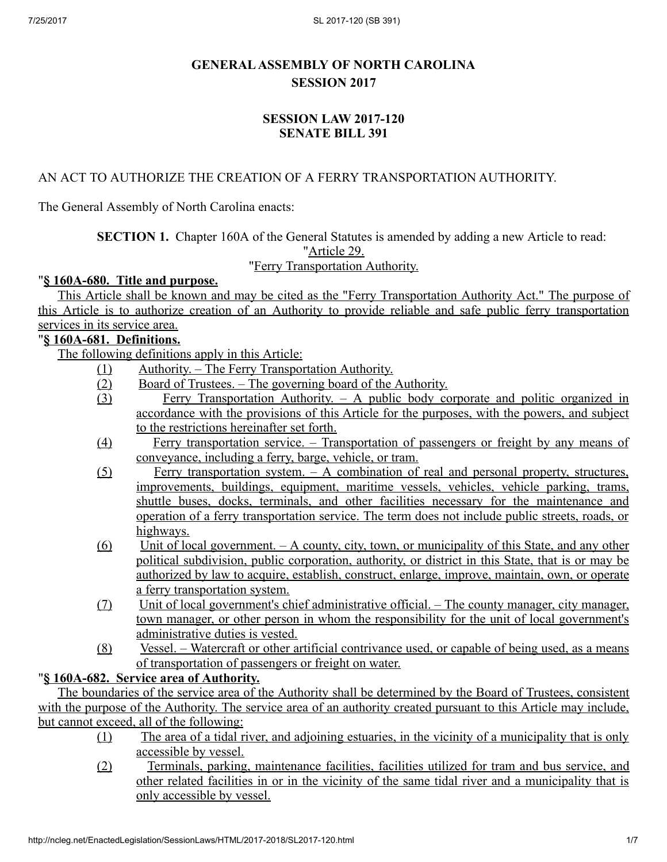# GENERALASSEMBLY OF NORTH CAROLINA SESSION 2017

#### SESSION LAW 2017-120 SENATE BILL 391

#### AN ACT TO AUTHORIZE THE CREATION OF A FERRY TRANSPORTATION AUTHORITY.

The General Assembly of North Carolina enacts:

SECTION 1. Chapter 160A of the General Statutes is amended by adding a new Article to read:

"Article 29.

#### "Ferry Transportation Authority.

#### "§ 160A-680. Title and purpose.

This Article shall be known and may be cited as the "Ferry Transportation Authority Act." The purpose of this Article is to authorize creation of an Authority to provide reliable and safe public ferry transportation services in its service area.

#### "§ 160A‑681. Definitions.

The following definitions apply in this Article:

- (1) Authority. The Ferry Transportation Authority.
- (2) Board of Trustees. The governing board of the Authority.
- (3) Ferry Transportation Authority. A public body corporate and politic organized in accordance with the provisions of this Article for the purposes, with the powers, and subject to the restrictions hereinafter set forth.
- (4) Ferry transportation service. Transportation of passengers or freight by any means of conveyance, including a ferry, barge, vehicle, or tram.
- (5) Ferry transportation system. A combination of real and personal property, structures, improvements, buildings, equipment, maritime vessels, vehicles, vehicle parking, trams, shuttle buses, docks, terminals, and other facilities necessary for the maintenance and operation of a ferry transportation service. The term does not include public streets, roads, or highways.
- $(6)$  Unit of local government. A county, city, town, or municipality of this State, and any other political subdivision, public corporation, authority, or district in this State, that is or may be authorized by law to acquire, establish, construct, enlarge, improve, maintain, own, or operate a ferry transportation system.
- (7) Unit of local government's chief administrative official. The county manager, city manager, town manager, or other person in whom the responsibility for the unit of local government's administrative duties is vested.
- (8) Vessel. Watercraft or other artificial contrivance used, or capable of being used, as a means of transportation of passengers or freight on water.

# "§ 160A‑682. Service area of Authority.

The boundaries of the service area of the Authority shall be determined by the Board of Trustees, consistent with the purpose of the Authority. The service area of an authority created pursuant to this Article may include, but cannot exceed, all of the following:

- (1) The area of a tidal river, and adjoining estuaries, in the vicinity of a municipality that is only accessible by vessel.
- (2) Terminals, parking, maintenance facilities, facilities utilized for tram and bus service, and other related facilities in or in the vicinity of the same tidal river and a municipality that is only accessible by vessel.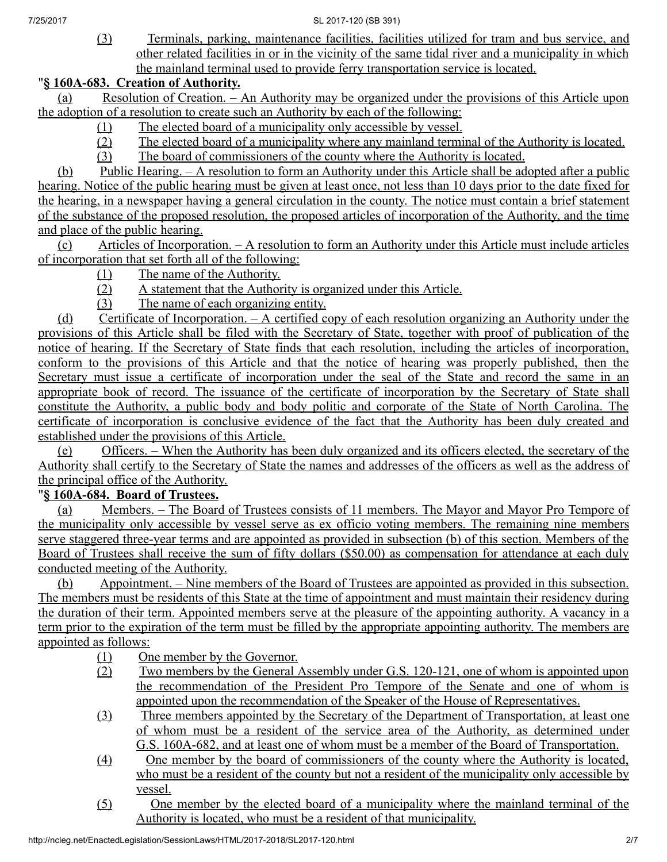(3) Terminals, parking, maintenance facilities, facilities utilized for tram and bus service, and other related facilities in or in the vicinity of the same tidal river and a municipality in which the mainland terminal used to provide ferry transportation service is located.

#### "§ 160A‑683. Creation of Authority.

(a) Resolution of Creation. – An Authority may be organized under the provisions of this Article upon the adoption of a resolution to create such an Authority by each of the following:

- (1) The elected board of a municipality only accessible by vessel.
- (2) The elected board of a municipality where any mainland terminal of the Authority is located.
- (3) The board of commissioners of the county where the Authority is located.

(b) Public Hearing. – A resolution to form an Authority under this Article shall be adopted after a public hearing. Notice of the public hearing must be given at least once, not less than 10 days prior to the date fixed for the hearing, in a newspaper having a general circulation in the county. The notice must contain a brief statement of the substance of the proposed resolution, the proposed articles of incorporation of the Authority, and the time and place of the public hearing.

(c) Articles of Incorporation. – A resolution to form an Authority under this Article must include articles of incorporation that set forth all of the following:

- (1) The name of the Authority.
- (2) A statement that the Authority is organized under this Article.
- (3) The name of each organizing entity.

(d) Certificate of Incorporation. – A certified copy of each resolution organizing an Authority under the provisions of this Article shall be filed with the Secretary of State, together with proof of publication of the notice of hearing. If the Secretary of State finds that each resolution, including the articles of incorporation, conform to the provisions of this Article and that the notice of hearing was properly published, then the Secretary must issue a certificate of incorporation under the seal of the State and record the same in an appropriate book of record. The issuance of the certificate of incorporation by the Secretary of State shall constitute the Authority, a public body and body politic and corporate of the State of North Carolina. The certificate of incorporation is conclusive evidence of the fact that the Authority has been duly created and established under the provisions of this Article.

(e) Officers. – When the Authority has been duly organized and its officers elected, the secretary of the Authority shall certify to the Secretary of State the names and addresses of the officers as well as the address of the principal office of the Authority.

## "§ 160A‑684. Board of Trustees.

(a) Members. – The Board of Trustees consists of 11 members. The Mayor and Mayor Pro Tempore of the municipality only accessible by vessel serve as ex officio voting members. The remaining nine members serve staggered three-year terms and are appointed as provided in subsection (b) of this section. Members of the Board of Trustees shall receive the sum of fifty dollars (\$50.00) as compensation for attendance at each duly conducted meeting of the Authority.

(b) Appointment. – Nine members of the Board of Trustees are appointed as provided in this subsection. The members must be residents of this State at the time of appointment and must maintain their residency during the duration of their term. Appointed members serve at the pleasure of the appointing authority. A vacancy in a term prior to the expiration of the term must be filled by the appropriate appointing authority. The members are appointed as follows:

- (1) One member by the Governor.
- (2) Two members by the General Assembly under G.S. 120‑121, one of whom is appointed upon the recommendation of the President Pro Tempore of the Senate and one of whom is appointed upon the recommendation of the Speaker of the House of Representatives.
- (3) Three members appointed by the Secretary of the Department of Transportation, at least one of whom must be a resident of the service area of the Authority, as determined under G.S. 160A–682, and at least one of whom must be a member of the Board of Transportation.
- (4) One member by the board of commissioners of the county where the Authority is located, who must be a resident of the county but not a resident of the municipality only accessible by vessel.
- (5) One member by the elected board of a municipality where the mainland terminal of the Authority is located, who must be a resident of that municipality.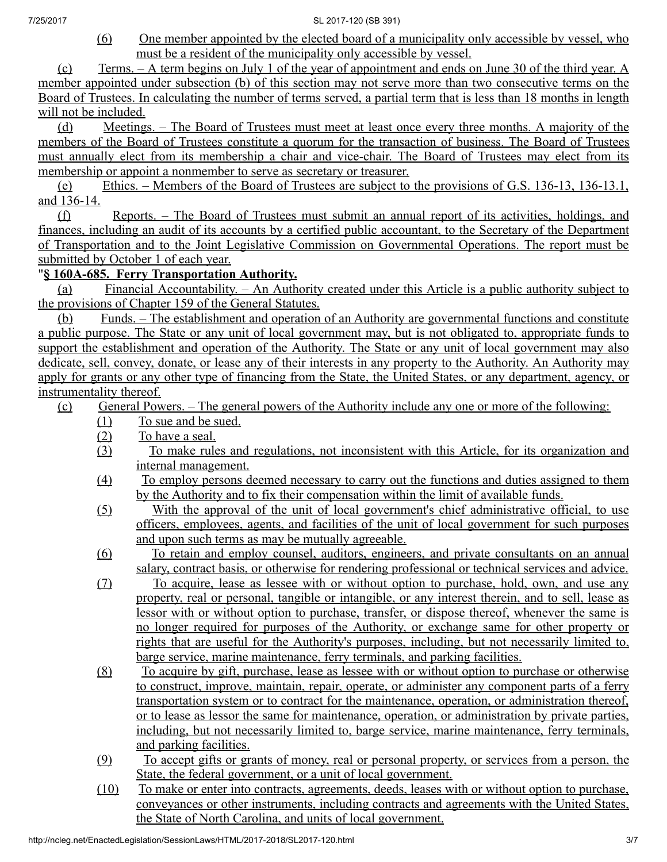(6) One member appointed by the elected board of a municipality only accessible by vessel, who must be a resident of the municipality only accessible by vessel.

(c) Terms. – A term begins on July 1 of the year of appointment and ends on June 30 of the third year. A member appointed under subsection (b) of this section may not serve more than two consecutive terms on the Board of Trustees. In calculating the number of terms served, a partial term that is less than 18 months in length will not be included.

(d) Meetings. – The Board of Trustees must meet at least once every three months. A majority of the members of the Board of Trustees constitute a quorum for the transaction of business. The Board of Trustees must annually elect from its membership a chair and vice-chair. The Board of Trustees may elect from its membership or appoint a nonmember to serve as secretary or treasurer.

(e) Ethics. – Members of the Board of Trustees are subject to the provisions of G.S. 136‑13, 136‑13.1, and 136‑14.

(f) Reports. – The Board of Trustees must submit an annual report of its activities, holdings, and finances, including an audit of its accounts by a certified public accountant, to the Secretary of the Department of Transportation and to the Joint Legislative Commission on Governmental Operations. The report must be submitted by October 1 of each year.

## "§ 160A‑685. Ferry Transportation Authority.

(a) Financial Accountability. – An Authority created under this Article is a public authority subject to the provisions of Chapter 159 of the General Statutes.

(b) Funds. – The establishment and operation of an Authority are governmental functions and constitute a public purpose. The State or any unit of local government may, but is not obligated to, appropriate funds to support the establishment and operation of the Authority. The State or any unit of local government may also dedicate, sell, convey, donate, or lease any of their interests in any property to the Authority. An Authority may apply for grants or any other type of financing from the State, the United States, or any department, agency, or instrumentality thereof.

- (c) General Powers. The general powers of the Authority include any one or more of the following:
	- (1) To sue and be sued.<br>(2) To have a seal.
	- To have a seal.
	- (3) To make rules and regulations, not inconsistent with this Article, for its organization and internal management.
	- (4) To employ persons deemed necessary to carry out the functions and duties assigned to them by the Authority and to fix their compensation within the limit of available funds.
	- (5) With the approval of the unit of local government's chief administrative official, to use officers, employees, agents, and facilities of the unit of local government for such purposes and upon such terms as may be mutually agreeable.
	- (6) To retain and employ counsel, auditors, engineers, and private consultants on an annual salary, contract basis, or otherwise for rendering professional or technical services and advice.

(7) To acquire, lease as lessee with or without option to purchase, hold, own, and use any property, real or personal, tangible or intangible, or any interest therein, and to sell, lease as lessor with or without option to purchase, transfer, or dispose thereof, whenever the same is no longer required for purposes of the Authority, or exchange same for other property or rights that are useful for the Authority's purposes, including, but not necessarily limited to, barge service, marine maintenance, ferry terminals, and parking facilities.

- (8) To acquire by gift, purchase, lease as lessee with or without option to purchase or otherwise to construct, improve, maintain, repair, operate, or administer any component parts of a ferry transportation system or to contract for the maintenance, operation, or administration thereof, or to lease as lessor the same for maintenance, operation, or administration by private parties, including, but not necessarily limited to, barge service, marine maintenance, ferry terminals, and parking facilities.
- (9) To accept gifts or grants of money, real or personal property, or services from a person, the State, the federal government, or a unit of local government.
- (10) To make or enter into contracts, agreements, deeds, leases with or without option to purchase, conveyances or other instruments, including contracts and agreements with the United States, the State of North Carolina, and units of local government.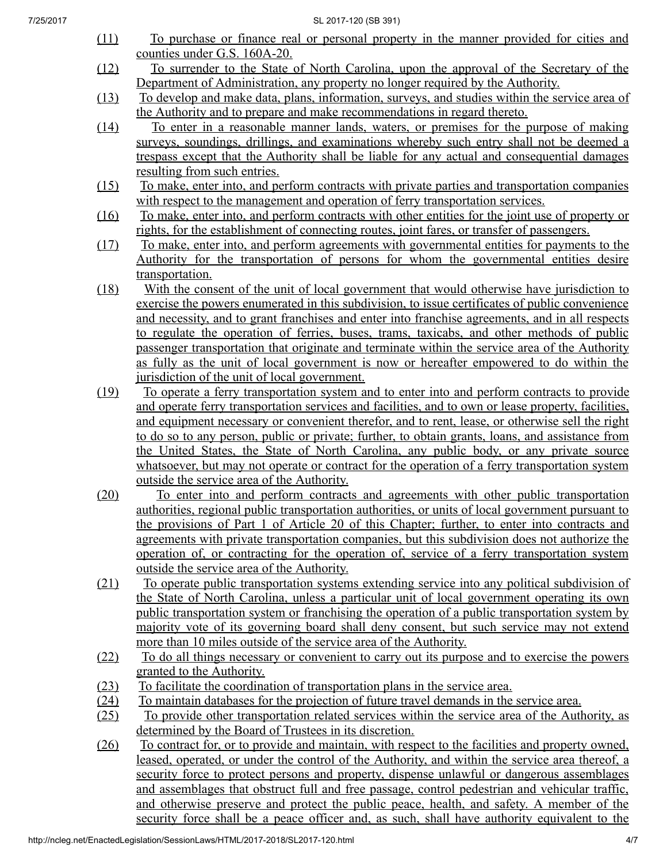- (11) To purchase or finance real or personal property in the manner provided for cities and counties under G.S. 160A‑20.
- (12) To surrender to the State of North Carolina, upon the approval of the Secretary of the Department of Administration, any property no longer required by the Authority.

(13) To develop and make data, plans, information, surveys, and studies within the service area of the Authority and to prepare and make recommendations in regard thereto.

- (14) To enter in a reasonable manner lands, waters, or premises for the purpose of making surveys, soundings, drillings, and examinations whereby such entry shall not be deemed a trespass except that the Authority shall be liable for any actual and consequential damages resulting from such entries.
- (15) To make, enter into, and perform contracts with private parties and transportation companies with respect to the management and operation of ferry transportation services.
- (16) To make, enter into, and perform contracts with other entities for the joint use of property or rights, for the establishment of connecting routes, joint fares, or transfer of passengers.
- (17) To make, enter into, and perform agreements with governmental entities for payments to the Authority for the transportation of persons for whom the governmental entities desire transportation.
- (18) With the consent of the unit of local government that would otherwise have jurisdiction to exercise the powers enumerated in this subdivision, to issue certificates of public convenience and necessity, and to grant franchises and enter into franchise agreements, and in all respects to regulate the operation of ferries, buses, trams, taxicabs, and other methods of public passenger transportation that originate and terminate within the service area of the Authority as fully as the unit of local government is now or hereafter empowered to do within the jurisdiction of the unit of local government.

(19) To operate a ferry transportation system and to enter into and perform contracts to provide and operate ferry transportation services and facilities, and to own or lease property, facilities, and equipment necessary or convenient therefor, and to rent, lease, or otherwise sell the right to do so to any person, public or private; further, to obtain grants, loans, and assistance from the United States, the State of North Carolina, any public body, or any private source whatsoever, but may not operate or contract for the operation of a ferry transportation system outside the service area of the Authority.

- (20) To enter into and perform contracts and agreements with other public transportation authorities, regional public transportation authorities, or units of local government pursuant to the provisions of Part 1 of Article 20 of this Chapter; further, to enter into contracts and agreements with private transportation companies, but this subdivision does not authorize the operation of, or contracting for the operation of, service of a ferry transportation system outside the service area of the Authority.
- (21) To operate public transportation systems extending service into any political subdivision of the State of North Carolina, unless a particular unit of local government operating its own public transportation system or franchising the operation of a public transportation system by majority vote of its governing board shall deny consent, but such service may not extend more than 10 miles outside of the service area of the Authority.
- (22) To do all things necessary or convenient to carry out its purpose and to exercise the powers granted to the Authority.
- (23) To facilitate the coordination of transportation plans in the service area.
- (24) To maintain databases for the projection of future travel demands in the service area.
- (25) To provide other transportation related services within the service area of the Authority, as determined by the Board of Trustees in its discretion.
- (26) To contract for, or to provide and maintain, with respect to the facilities and property owned, leased, operated, or under the control of the Authority, and within the service area thereof, a security force to protect persons and property, dispense unlawful or dangerous assemblages and assemblages that obstruct full and free passage, control pedestrian and vehicular traffic, and otherwise preserve and protect the public peace, health, and safety. A member of the security force shall be a peace officer and, as such, shall have authority equivalent to the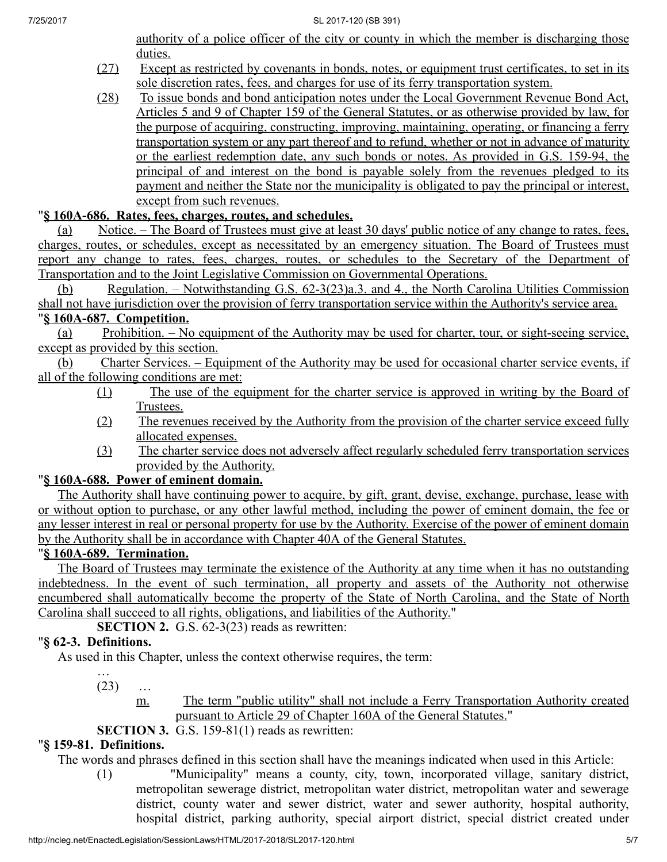authority of a police officer of the city or county in which the member is discharging those duties.

- (27) Except as restricted by covenants in bonds, notes, or equipment trust certificates, to set in its sole discretion rates, fees, and charges for use of its ferry transportation system.
- (28) To issue bonds and bond anticipation notes under the Local Government Revenue Bond Act, Articles 5 and 9 of Chapter 159 of the General Statutes, or as otherwise provided by law, for the purpose of acquiring, constructing, improving, maintaining, operating, or financing a ferry transportation system or any part thereof and to refund, whether or not in advance of maturity or the earliest redemption date, any such bonds or notes. As provided in G.S. 159‑94, the principal of and interest on the bond is payable solely from the revenues pledged to its payment and neither the State nor the municipality is obligated to pay the principal or interest, except from such revenues.

# "§ 160A‑686. Rates, fees, charges, routes, and schedules.

(a) Notice. – The Board of Trustees must give at least 30 days' public notice of any change to rates, fees, charges, routes, or schedules, except as necessitated by an emergency situation. The Board of Trustees must report any change to rates, fees, charges, routes, or schedules to the Secretary of the Department of Transportation and to the Joint Legislative Commission on Governmental Operations.

(b) Regulation. – Notwithstanding G.S. 62‑3(23)a.3. and 4., the North Carolina Utilities Commission shall not have jurisdiction over the provision of ferry transportation service within the Authority's service area.

#### "§ 160A‑687. Competition.

(a) Prohibition. – No equipment of the Authority may be used for charter, tour, or sight-seeing service, except as provided by this section.

 $(b)$  Charter Services. – Equipment of the Authority may be used for occasional charter service events, if all of the following conditions are met:

- (1) The use of the equipment for the charter service is approved in writing by the Board of Trustees.
- (2) The revenues received by the Authority from the provision of the charter service exceed fully allocated expenses.
- (3) The charter service does not adversely affect regularly scheduled ferry transportation services provided by the Authority.

# "§ 160A-688. Power of eminent domain.

The Authority shall have continuing power to acquire, by gift, grant, devise, exchange, purchase, lease with or without option to purchase, or any other lawful method, including the power of eminent domain, the fee or any lesser interest in real or personal property for use by the Authority. Exercise of the power of eminent domain by the Authority shall be in accordance with Chapter 40A of the General Statutes.

#### "§ 160A‑689. Termination.

The Board of Trustees may terminate the existence of the Authority at any time when it has no outstanding indebtedness. In the event of such termination, all property and assets of the Authority not otherwise encumbered shall automatically become the property of the State of North Carolina, and the State of North Carolina shall succeed to all rights, obligations, and liabilities of the Authority."

SECTION 2. G.S. 62-3(23) reads as rewritten:

# "§ 62‑3. Definitions.

As used in this Chapter, unless the context otherwise requires, the term:

…  $(23)$  ...

m. The term "public utility" shall not include a Ferry Transportation Authority created pursuant to Article 29 of Chapter 160A of the General Statutes."

# SECTION 3. G.S. 159-81(1) reads as rewritten:

# "§ 159‑81. Definitions.

The words and phrases defined in this section shall have the meanings indicated when used in this Article:

(1) "Municipality" means a county, city, town, incorporated village, sanitary district, metropolitan sewerage district, metropolitan water district, metropolitan water and sewerage district, county water and sewer district, water and sewer authority, hospital authority, hospital district, parking authority, special airport district, special district created under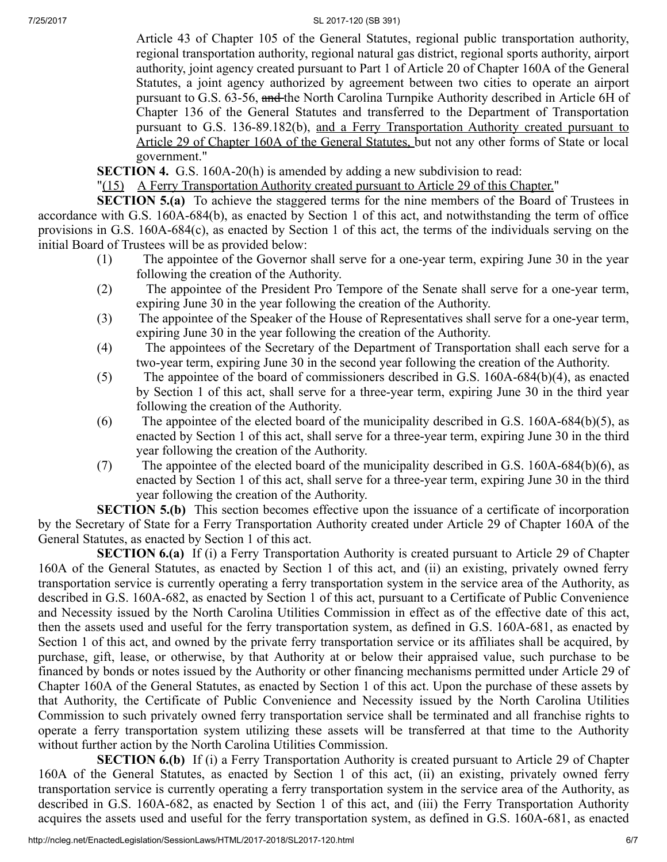7/25/2017 SL 2017-120 (SB 391)

Article 43 of Chapter 105 of the General Statutes, regional public transportation authority, regional transportation authority, regional natural gas district, regional sports authority, airport authority, joint agency created pursuant to Part 1 of Article 20 of Chapter 160A of the General Statutes, a joint agency authorized by agreement between two cities to operate an airport pursuant to G.S. 63-56, and the North Carolina Turnpike Authority described in Article 6H of Chapter 136 of the General Statutes and transferred to the Department of Transportation pursuant to G.S. 136‑89.182(b), and a Ferry Transportation Authority created pursuant to Article 29 of Chapter 160A of the General Statutes, but not any other forms of State or local government."

SECTION 4. G.S. 160A-20(h) is amended by adding a new subdivision to read:

"(15) A Ferry Transportation Authority created pursuant to Article 29 of this Chapter."

SECTION 5.(a) To achieve the staggered terms for the nine members of the Board of Trustees in accordance with G.S. 160A-684(b), as enacted by Section 1 of this act, and notwithstanding the term of office provisions in G.S. 160A‑684(c), as enacted by Section 1 of this act, the terms of the individuals serving on the initial Board of Trustees will be as provided below:

- (1) The appointee of the Governor shall serve for a one‑year term, expiring June 30 in the year following the creation of the Authority.
- (2) The appointee of the President Pro Tempore of the Senate shall serve for a one‑year term, expiring June 30 in the year following the creation of the Authority.
- (3) The appointee of the Speaker of the House of Representatives shall serve for a one‑year term, expiring June 30 in the year following the creation of the Authority.
- (4) The appointees of the Secretary of the Department of Transportation shall each serve for a two-year term, expiring June 30 in the second year following the creation of the Authority.
- (5) The appointee of the board of commissioners described in G.S. 160A‑684(b)(4), as enacted by Section 1 of this act, shall serve for a three‑year term, expiring June 30 in the third year following the creation of the Authority.
- (6) The appointee of the elected board of the municipality described in G.S.  $160A-684(b)(5)$ , as enacted by Section 1 of this act, shall serve for a three-year term, expiring June 30 in the third year following the creation of the Authority.
- (7) The appointee of the elected board of the municipality described in G.S. 160A‑684(b)(6), as enacted by Section 1 of this act, shall serve for a three-year term, expiring June 30 in the third year following the creation of the Authority.

SECTION 5.(b) This section becomes effective upon the issuance of a certificate of incorporation by the Secretary of State for a Ferry Transportation Authority created under Article 29 of Chapter 160A of the General Statutes, as enacted by Section 1 of this act.

SECTION 6.(a) If (i) a Ferry Transportation Authority is created pursuant to Article 29 of Chapter 160A of the General Statutes, as enacted by Section 1 of this act, and (ii) an existing, privately owned ferry transportation service is currently operating a ferry transportation system in the service area of the Authority, as described in G.S. 160A-682, as enacted by Section 1 of this act, pursuant to a Certificate of Public Convenience and Necessity issued by the North Carolina Utilities Commission in effect as of the effective date of this act, then the assets used and useful for the ferry transportation system, as defined in G.S. 160A-681, as enacted by Section 1 of this act, and owned by the private ferry transportation service or its affiliates shall be acquired, by purchase, gift, lease, or otherwise, by that Authority at or below their appraised value, such purchase to be financed by bonds or notes issued by the Authority or other financing mechanisms permitted under Article 29 of Chapter 160A of the General Statutes, as enacted by Section 1 of this act. Upon the purchase of these assets by that Authority, the Certificate of Public Convenience and Necessity issued by the North Carolina Utilities Commission to such privately owned ferry transportation service shall be terminated and all franchise rights to operate a ferry transportation system utilizing these assets will be transferred at that time to the Authority without further action by the North Carolina Utilities Commission.

SECTION 6.(b) If (i) a Ferry Transportation Authority is created pursuant to Article 29 of Chapter 160A of the General Statutes, as enacted by Section 1 of this act, (ii) an existing, privately owned ferry transportation service is currently operating a ferry transportation system in the service area of the Authority, as described in G.S. 160A-682, as enacted by Section 1 of this act, and (iii) the Ferry Transportation Authority acquires the assets used and useful for the ferry transportation system, as defined in G.S. 160A‑681, as enacted